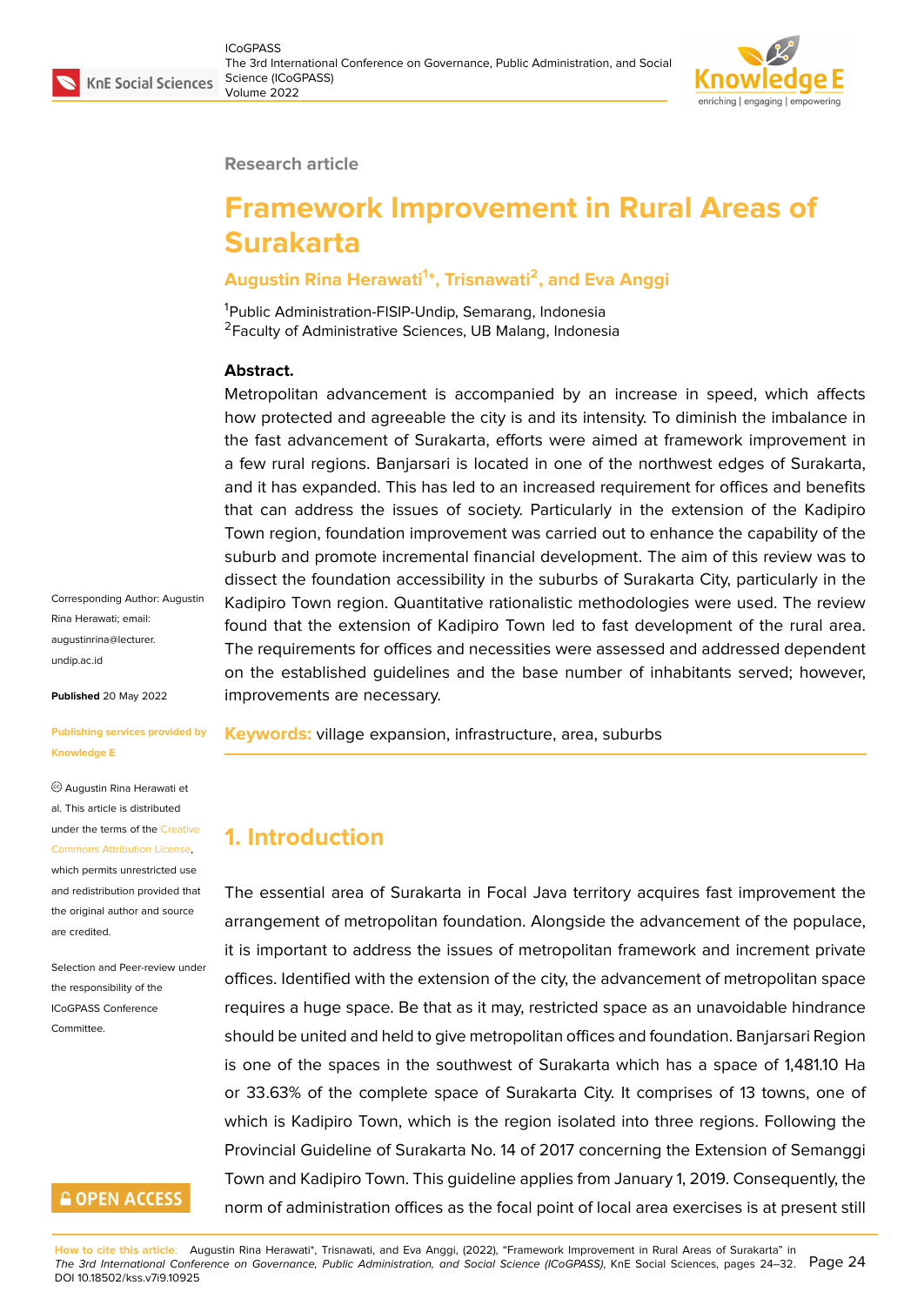#### **Research article**

# **Framework Improvement in Rural Areas of Surakarta**

#### **Augustin Rina Herawati<sup>1</sup> \*, Trisnawati<sup>2</sup> , and Eva Anggi**

<sup>1</sup>Public Administration-FISIP-Undip, Semarang, Indonesia <sup>2</sup> Faculty of Administrative Sciences, UB Malang, Indonesia

#### **Abstract.**

Metropolitan advancement is accompanied by an increase in speed, which affects how protected and agreeable the city is and its intensity. To diminish the imbalance in the fast advancement of Surakarta, efforts were aimed at framework improvement in a few rural regions. Banjarsari is located in one of the northwest edges of Surakarta, and it has expanded. This has led to an increased requirement for offices and benefits that can address the issues of society. Particularly in the extension of the Kadipiro Town region, foundation improvement was carried out to enhance the capability of the suburb and promote incremental financial development. The aim of this review was to dissect the foundation accessibility in the suburbs of Surakarta City, particularly in the Kadipiro Town region. Quantitative rationalistic methodologies were used. The review found that the extension of Kadipiro Town led to fast development of the rural area. The requirements for offices and necessities were assessed and addressed dependent on the established guidelines and the base number of inhabitants served; however, improvements are necessary.

**Keywords:** village expansion, infrastructure, area, suburbs

# **1. Introduction**

The essential area of Surakarta in Focal Java territory acquires fast improvement the arrangement of metropolitan foundation. Alongside the advancement of the populace, it is important to address the issues of metropolitan framework and increment private offices. Identified with the extension of the city, the advancement of metropolitan space requires a huge space. Be that as it may, restricted space as an unavoidable hindrance should be united and held to give metropolitan offices and foundation. Banjarsari Region is one of the spaces in the southwest of Surakarta which has a space of 1,481.10 Ha or 33.63% of the complete space of Surakarta City. It comprises of 13 towns, one of which is Kadipiro Town, which is the region isolated into three regions. Following the Provincial Guideline of Surakarta No. 14 of 2017 concerning the Extension of Semanggi Town and Kadipiro Town. This guideline applies from January 1, 2019. Consequently, the norm of administration offices as the focal point of local area exercises is at present still

Corresponding Author: Augustin Rina Herawati; email: augustinrina@lecturer. undip.ac.id

**Published** 20 May 2022

#### **[Publishing](mailto:augustinrina@lecturer.undip.ac.id) services provided by Knowledge E**

Augustin Rina Herawati et al. This article is distributed under the terms of the Creative Commons Attribution License,

which permits unrestricted use and redistribution provided that the original author and [source](https://creativecommons.org/licenses/by/4.0/) [are credited.](https://creativecommons.org/licenses/by/4.0/)

Selection and Peer-review under the responsibility of the ICoGPASS Conference **Committee** 

# **GOPEN ACCESS**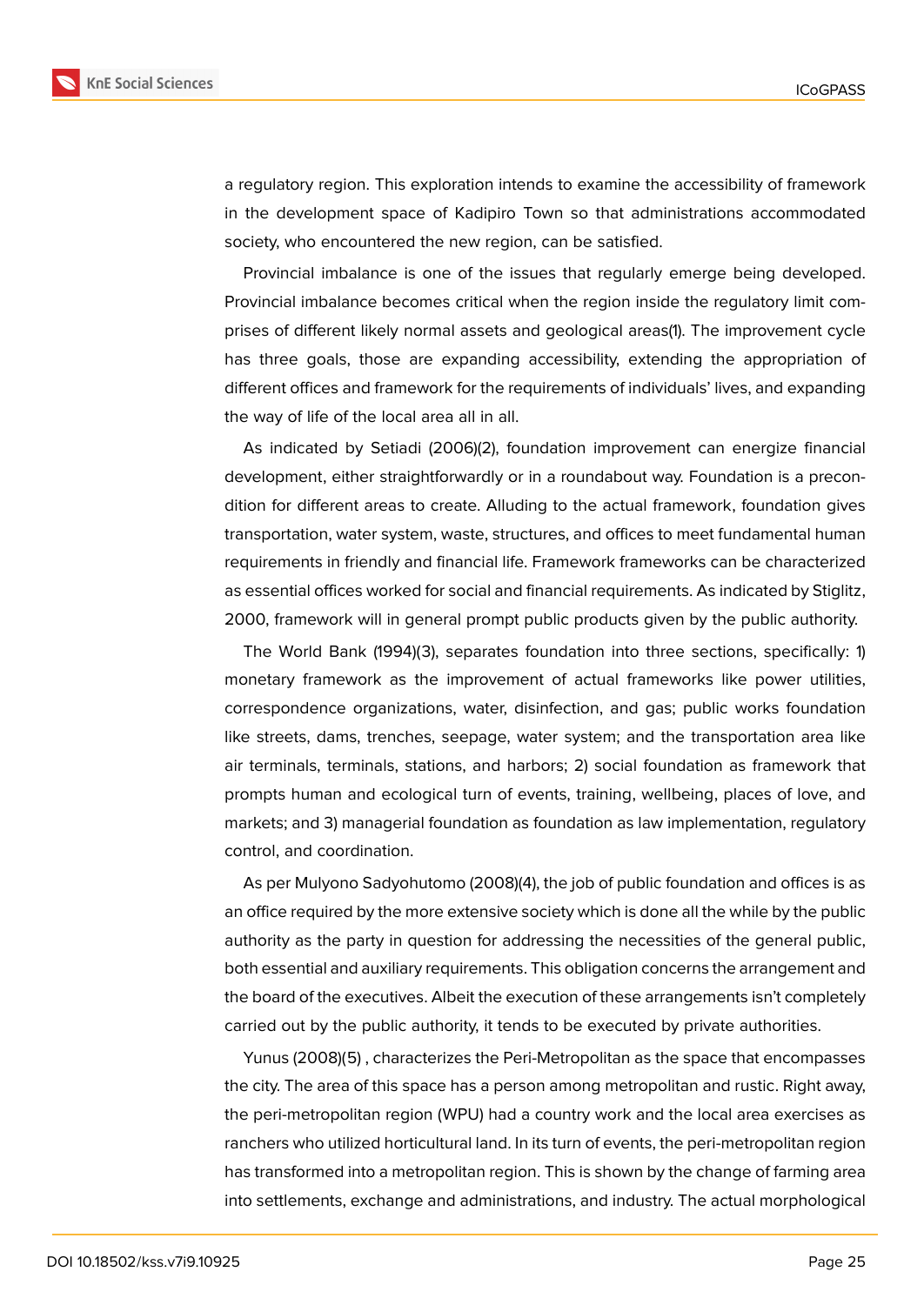

a regulatory region. This exploration intends to examine the accessibility of framework in the development space of Kadipiro Town so that administrations accommodated society, who encountered the new region, can be satisfied.

Provincial imbalance is one of the issues that regularly emerge being developed. Provincial imbalance becomes critical when the region inside the regulatory limit comprises of different likely normal assets and geological areas(1). The improvement cycle has three goals, those are expanding accessibility, extending the appropriation of different offices and framework for the requirements of individuals' lives, and expanding the way of life of the local area all in all.

As indicated by Setiadi (2006)(2), foundation improvement can energize financial development, either straightforwardly or in a roundabout way. Foundation is a precondition for different areas to create. Alluding to the actual framework, foundation gives transportation, water system, waste, structures, and offices to meet fundamental human requirements in friendly and financial life. Framework frameworks can be characterized as essential offices worked for social and financial requirements. As indicated by Stiglitz, 2000, framework will in general prompt public products given by the public authority.

The World Bank (1994)(3), separates foundation into three sections, specifically: 1) monetary framework as the improvement of actual frameworks like power utilities, correspondence organizations, water, disinfection, and gas; public works foundation like streets, dams, trenches, seepage, water system; and the transportation area like air terminals, terminals, stations, and harbors; 2) social foundation as framework that prompts human and ecological turn of events, training, wellbeing, places of love, and markets; and 3) managerial foundation as foundation as law implementation, regulatory control, and coordination.

As per Mulyono Sadyohutomo (2008)(4), the job of public foundation and offices is as an office required by the more extensive society which is done all the while by the public authority as the party in question for addressing the necessities of the general public, both essential and auxiliary requirements. This obligation concerns the arrangement and the board of the executives. Albeit the execution of these arrangements isn't completely carried out by the public authority, it tends to be executed by private authorities.

Yunus (2008)(5) , characterizes the Peri-Metropolitan as the space that encompasses the city. The area of this space has a person among metropolitan and rustic. Right away, the peri-metropolitan region (WPU) had a country work and the local area exercises as ranchers who utilized horticultural land. In its turn of events, the peri-metropolitan region has transformed into a metropolitan region. This is shown by the change of farming area into settlements, exchange and administrations, and industry. The actual morphological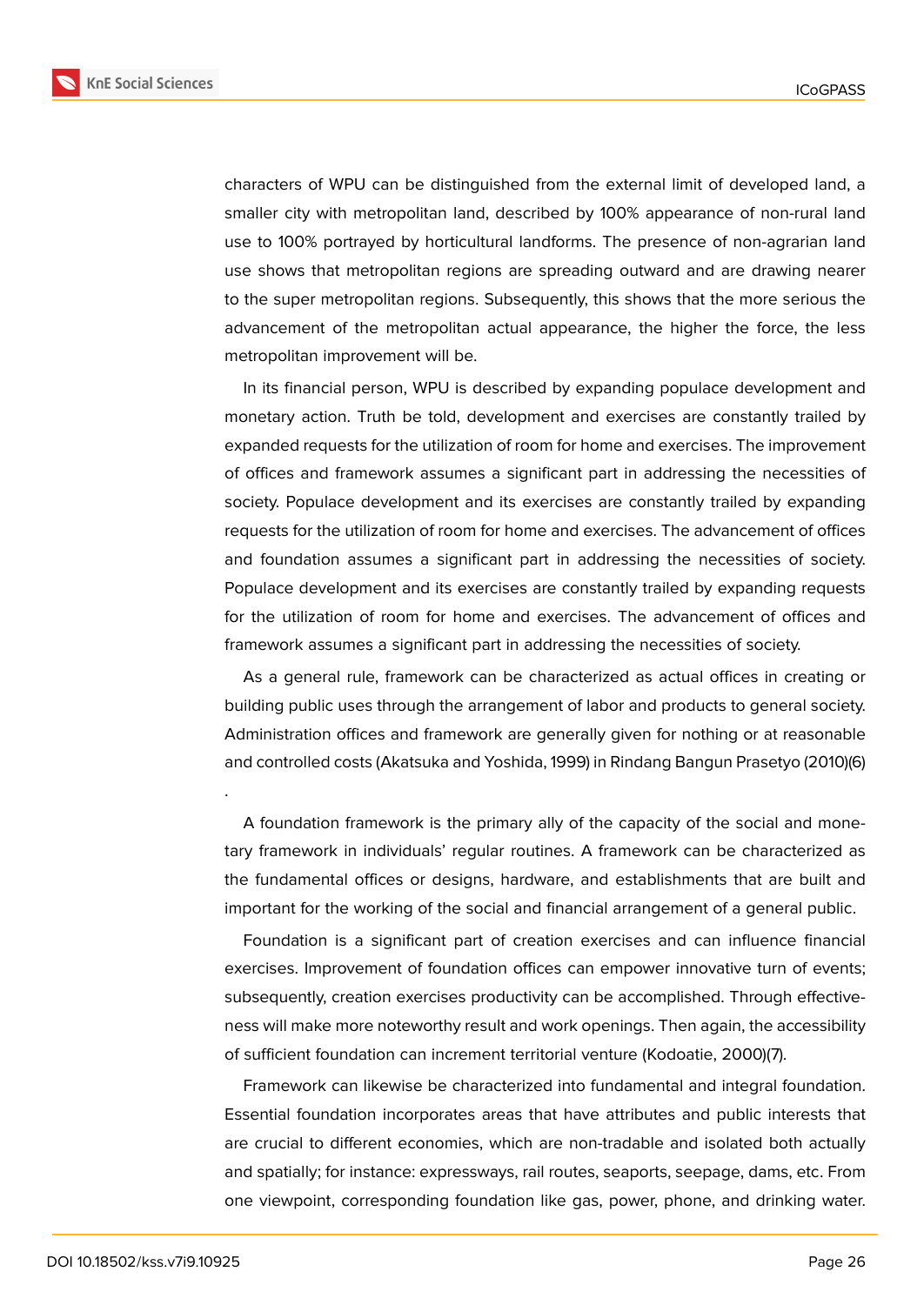

characters of WPU can be distinguished from the external limit of developed land, a smaller city with metropolitan land, described by 100% appearance of non-rural land use to 100% portrayed by horticultural landforms. The presence of non-agrarian land use shows that metropolitan regions are spreading outward and are drawing nearer to the super metropolitan regions. Subsequently, this shows that the more serious the advancement of the metropolitan actual appearance, the higher the force, the less metropolitan improvement will be.

In its financial person, WPU is described by expanding populace development and monetary action. Truth be told, development and exercises are constantly trailed by expanded requests for the utilization of room for home and exercises. The improvement of offices and framework assumes a significant part in addressing the necessities of society. Populace development and its exercises are constantly trailed by expanding requests for the utilization of room for home and exercises. The advancement of offices and foundation assumes a significant part in addressing the necessities of society. Populace development and its exercises are constantly trailed by expanding requests for the utilization of room for home and exercises. The advancement of offices and framework assumes a significant part in addressing the necessities of society.

As a general rule, framework can be characterized as actual offices in creating or building public uses through the arrangement of labor and products to general society. Administration offices and framework are generally given for nothing or at reasonable and controlled costs (Akatsuka and Yoshida, 1999) in Rindang Bangun Prasetyo (2010)(6)

A foundation framework is the primary ally of the capacity of the social and monetary framework in individuals' regular routines. A framework can be characterized as the fundamental offices or designs, hardware, and establishments that are built and important for the working of the social and financial arrangement of a general public.

Foundation is a significant part of creation exercises and can influence financial exercises. Improvement of foundation offices can empower innovative turn of events; subsequently, creation exercises productivity can be accomplished. Through effectiveness will make more noteworthy result and work openings. Then again, the accessibility of sufficient foundation can increment territorial venture (Kodoatie, 2000)(7).

Framework can likewise be characterized into fundamental and integral foundation. Essential foundation incorporates areas that have attributes and public interests that are crucial to different economies, which are non-tradable and isolated both actually and spatially; for instance: expressways, rail routes, seaports, seepage, dams, etc. From one viewpoint, corresponding foundation like gas, power, phone, and drinking water.

.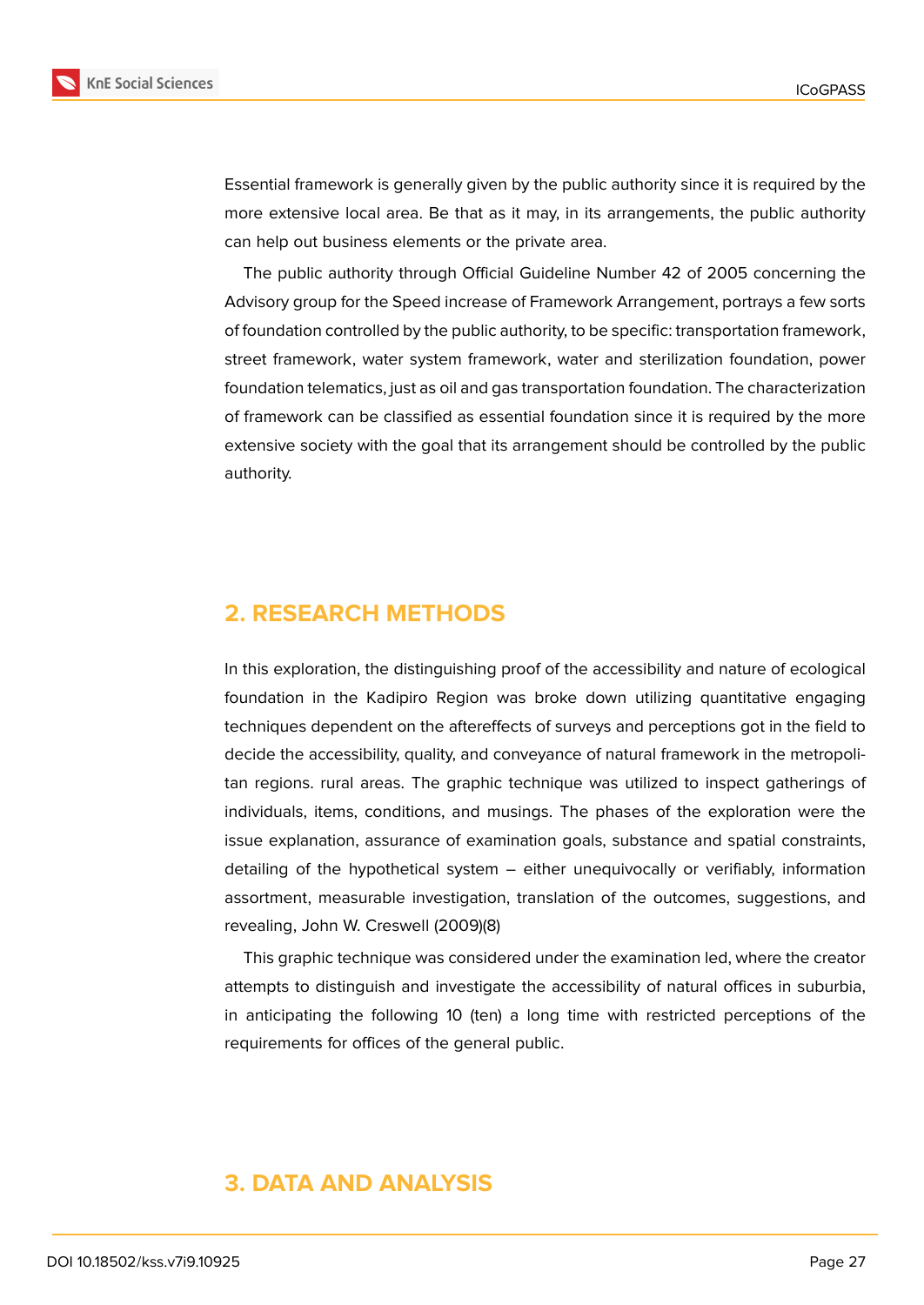

Essential framework is generally given by the public authority since it is required by the more extensive local area. Be that as it may, in its arrangements, the public authority can help out business elements or the private area.

The public authority through Official Guideline Number 42 of 2005 concerning the Advisory group for the Speed increase of Framework Arrangement, portrays a few sorts of foundation controlled by the public authority, to be specific: transportation framework, street framework, water system framework, water and sterilization foundation, power foundation telematics, just as oil and gas transportation foundation. The characterization of framework can be classified as essential foundation since it is required by the more extensive society with the goal that its arrangement should be controlled by the public authority.

# **2. RESEARCH METHODS**

In this exploration, the distinguishing proof of the accessibility and nature of ecological foundation in the Kadipiro Region was broke down utilizing quantitative engaging techniques dependent on the aftereffects of surveys and perceptions got in the field to decide the accessibility, quality, and conveyance of natural framework in the metropolitan regions. rural areas. The graphic technique was utilized to inspect gatherings of individuals, items, conditions, and musings. The phases of the exploration were the issue explanation, assurance of examination goals, substance and spatial constraints, detailing of the hypothetical system – either unequivocally or verifiably, information assortment, measurable investigation, translation of the outcomes, suggestions, and revealing, John W. Creswell (2009)(8)

This graphic technique was considered under the examination led, where the creator attempts to distinguish and investigate the accessibility of natural offices in suburbia, in anticipating the following 10 (ten) a long time with restricted perceptions of the requirements for offices of the general public.

# **3. DATA AND ANALYSIS**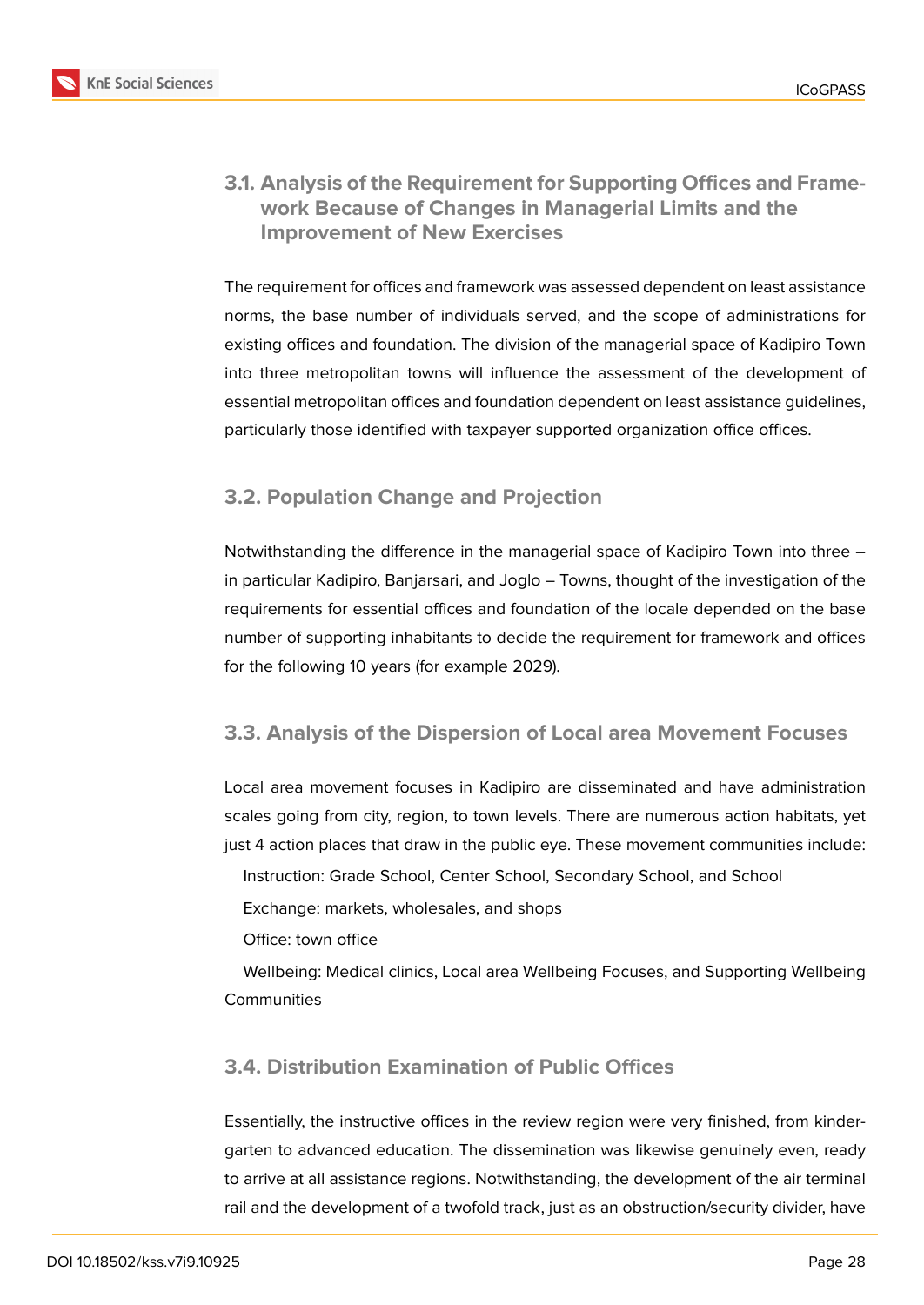

### **3.1. Analysis of the Requirement for Supporting Offices and Framework Because of Changes in Managerial Limits and the Improvement of New Exercises**

The requirement for offices and framework was assessed dependent on least assistance norms, the base number of individuals served, and the scope of administrations for existing offices and foundation. The division of the managerial space of Kadipiro Town into three metropolitan towns will influence the assessment of the development of essential metropolitan offices and foundation dependent on least assistance guidelines, particularly those identified with taxpayer supported organization office offices.

# **3.2. Population Change and Projection**

Notwithstanding the difference in the managerial space of Kadipiro Town into three – in particular Kadipiro, Banjarsari, and Joglo – Towns, thought of the investigation of the requirements for essential offices and foundation of the locale depended on the base number of supporting inhabitants to decide the requirement for framework and offices for the following 10 years (for example 2029).

#### **3.3. Analysis of the Dispersion of Local area Movement Focuses**

Local area movement focuses in Kadipiro are disseminated and have administration scales going from city, region, to town levels. There are numerous action habitats, yet just 4 action places that draw in the public eye. These movement communities include:

Instruction: Grade School, Center School, Secondary School, and School

Exchange: markets, wholesales, and shops

Office: town office

Wellbeing: Medical clinics, Local area Wellbeing Focuses, and Supporting Wellbeing **Communities** 

# **3.4. Distribution Examination of Public Offices**

Essentially, the instructive offices in the review region were very finished, from kindergarten to advanced education. The dissemination was likewise genuinely even, ready to arrive at all assistance regions. Notwithstanding, the development of the air terminal rail and the development of a twofold track, just as an obstruction/security divider, have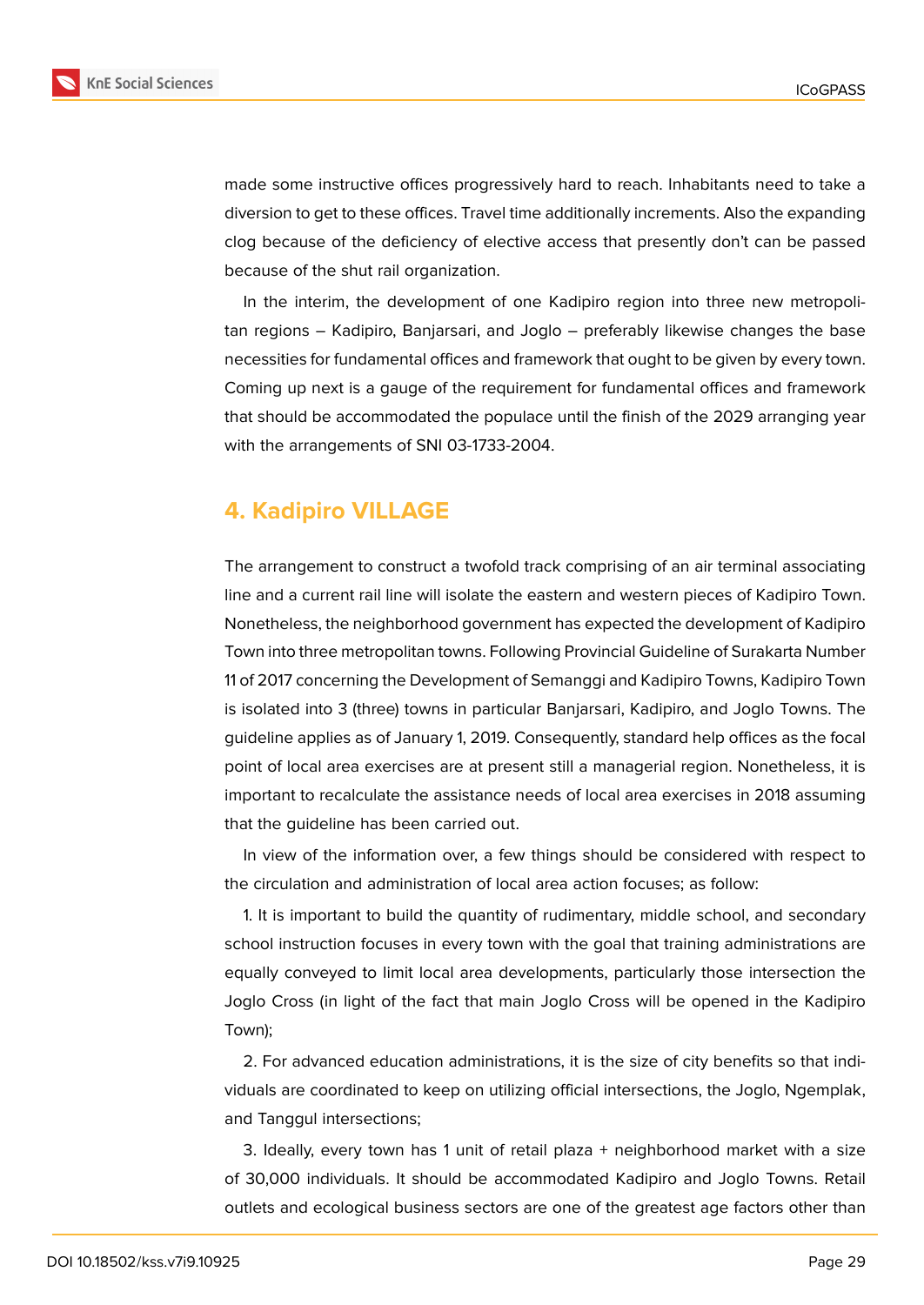

made some instructive offices progressively hard to reach. Inhabitants need to take a diversion to get to these offices. Travel time additionally increments. Also the expanding clog because of the deficiency of elective access that presently don't can be passed because of the shut rail organization.

In the interim, the development of one Kadipiro region into three new metropolitan regions – Kadipiro, Banjarsari, and Joglo – preferably likewise changes the base necessities for fundamental offices and framework that ought to be given by every town. Coming up next is a gauge of the requirement for fundamental offices and framework that should be accommodated the populace until the finish of the 2029 arranging year with the arrangements of SNI 03-1733-2004.

# **4. Kadipiro VILLAGE**

The arrangement to construct a twofold track comprising of an air terminal associating line and a current rail line will isolate the eastern and western pieces of Kadipiro Town. Nonetheless, the neighborhood government has expected the development of Kadipiro Town into three metropolitan towns. Following Provincial Guideline of Surakarta Number 11 of 2017 concerning the Development of Semanggi and Kadipiro Towns, Kadipiro Town is isolated into 3 (three) towns in particular Banjarsari, Kadipiro, and Joglo Towns. The guideline applies as of January 1, 2019. Consequently, standard help offices as the focal point of local area exercises are at present still a managerial region. Nonetheless, it is important to recalculate the assistance needs of local area exercises in 2018 assuming that the guideline has been carried out.

In view of the information over, a few things should be considered with respect to the circulation and administration of local area action focuses; as follow:

1. It is important to build the quantity of rudimentary, middle school, and secondary school instruction focuses in every town with the goal that training administrations are equally conveyed to limit local area developments, particularly those intersection the Joglo Cross (in light of the fact that main Joglo Cross will be opened in the Kadipiro Town);

2. For advanced education administrations, it is the size of city benefits so that individuals are coordinated to keep on utilizing official intersections, the Joglo, Ngemplak, and Tanggul intersections;

3. Ideally, every town has 1 unit of retail plaza + neighborhood market with a size of 30,000 individuals. It should be accommodated Kadipiro and Joglo Towns. Retail outlets and ecological business sectors are one of the greatest age factors other than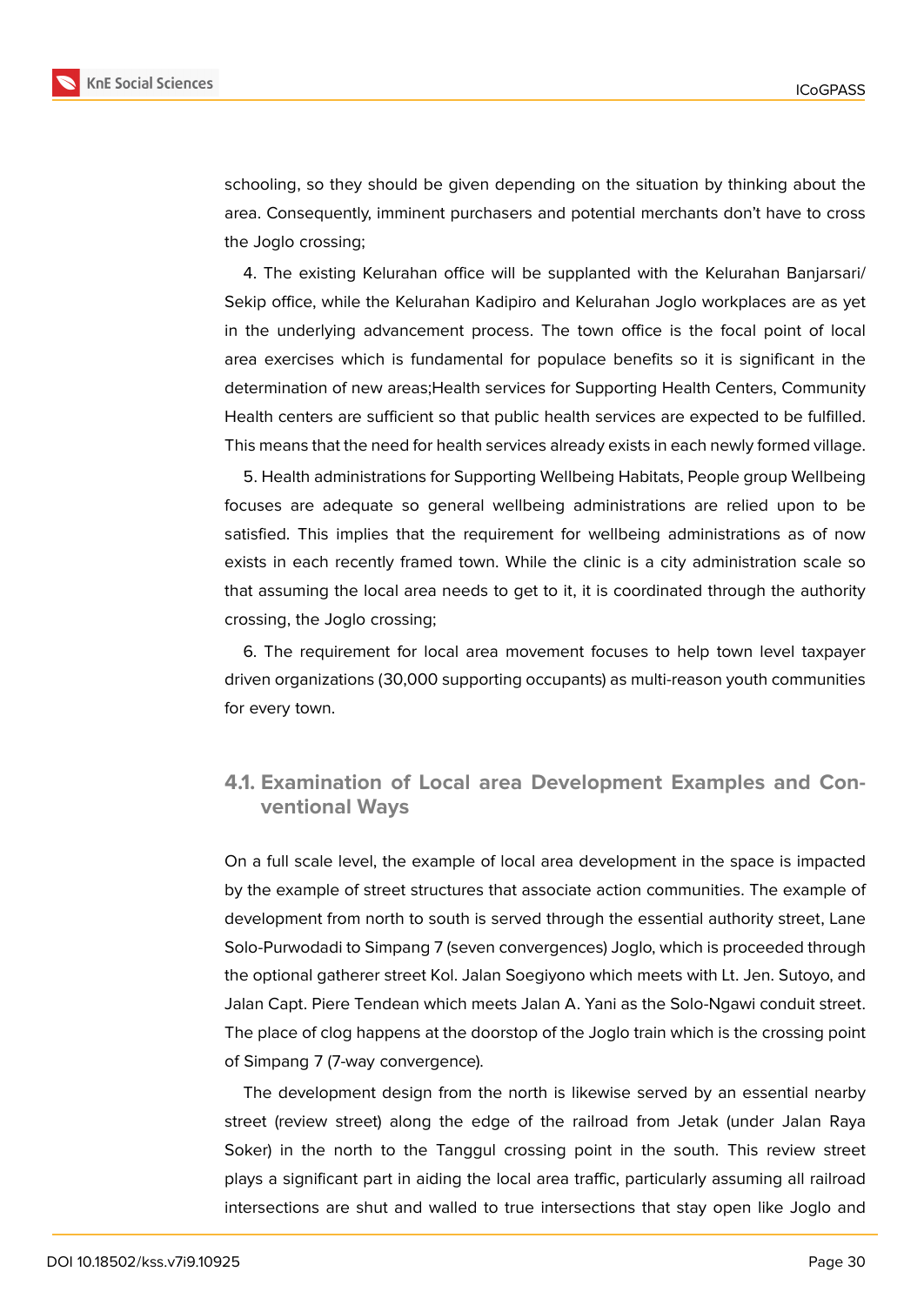

**KnE Social Sciences** 

schooling, so they should be given depending on the situation by thinking about the area. Consequently, imminent purchasers and potential merchants don't have to cross the Joglo crossing;

4. The existing Kelurahan office will be supplanted with the Kelurahan Banjarsari/ Sekip office, while the Kelurahan Kadipiro and Kelurahan Joglo workplaces are as yet in the underlying advancement process. The town office is the focal point of local area exercises which is fundamental for populace benefits so it is significant in the determination of new areas; Health services for Supporting Health Centers, Community Health centers are sufficient so that public health services are expected to be fulfilled. This means that the need for health services already exists in each newly formed village.

5. Health administrations for Supporting Wellbeing Habitats, People group Wellbeing focuses are adequate so general wellbeing administrations are relied upon to be satisfied. This implies that the requirement for wellbeing administrations as of now exists in each recently framed town. While the clinic is a city administration scale so that assuming the local area needs to get to it, it is coordinated through the authority crossing, the Joglo crossing;

6. The requirement for local area movement focuses to help town level taxpayer driven organizations (30,000 supporting occupants) as multi-reason youth communities for every town.

### **4.1. Examination of Local area Development Examples and Conventional Ways**

On a full scale level, the example of local area development in the space is impacted by the example of street structures that associate action communities. The example of development from north to south is served through the essential authority street, Lane Solo-Purwodadi to Simpang 7 (seven convergences) Joglo, which is proceeded through the optional gatherer street Kol. Jalan Soegiyono which meets with Lt. Jen. Sutoyo, and Jalan Capt. Piere Tendean which meets Jalan A. Yani as the Solo-Ngawi conduit street. The place of clog happens at the doorstop of the Joglo train which is the crossing point of Simpang 7 (7-way convergence).

The development design from the north is likewise served by an essential nearby street (review street) along the edge of the railroad from Jetak (under Jalan Raya Soker) in the north to the Tanggul crossing point in the south. This review street plays a significant part in aiding the local area traffic, particularly assuming all railroad intersections are shut and walled to true intersections that stay open like Joglo and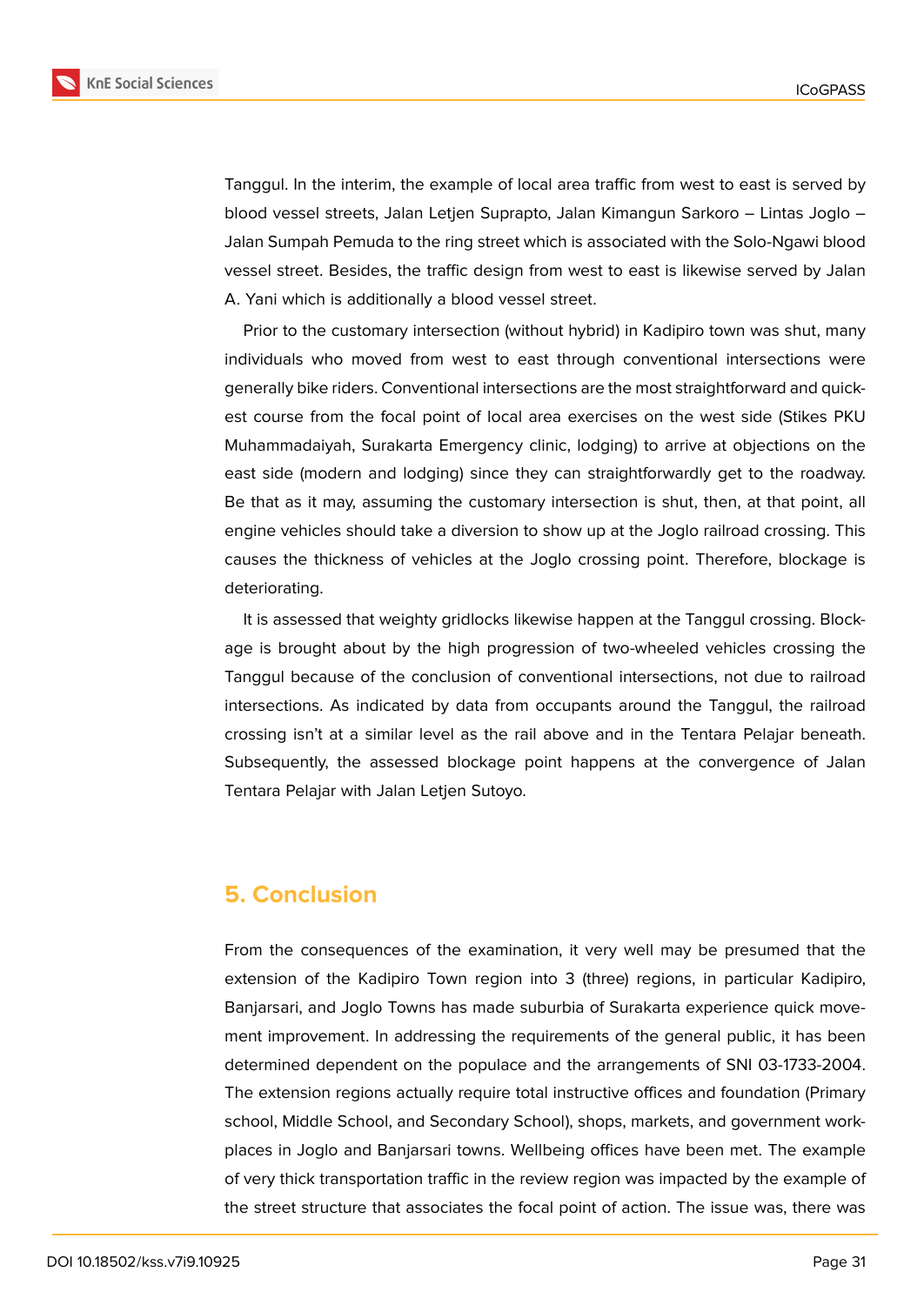

Tanggul. In the interim, the example of local area traffic from west to east is served by blood vessel streets, Jalan Letjen Suprapto, Jalan Kimangun Sarkoro – Lintas Joglo – Jalan Sumpah Pemuda to the ring street which is associated with the Solo-Ngawi blood vessel street. Besides, the traffic design from west to east is likewise served by Jalan A. Yani which is additionally a blood vessel street.

Prior to the customary intersection (without hybrid) in Kadipiro town was shut, many individuals who moved from west to east through conventional intersections were generally bike riders. Conventional intersections are the most straightforward and quickest course from the focal point of local area exercises on the west side (Stikes PKU Muhammadaiyah, Surakarta Emergency clinic, lodging) to arrive at objections on the east side (modern and lodging) since they can straightforwardly get to the roadway. Be that as it may, assuming the customary intersection is shut, then, at that point, all engine vehicles should take a diversion to show up at the Joglo railroad crossing. This causes the thickness of vehicles at the Joglo crossing point. Therefore, blockage is deteriorating.

It is assessed that weighty gridlocks likewise happen at the Tanggul crossing. Blockage is brought about by the high progression of two-wheeled vehicles crossing the Tanggul because of the conclusion of conventional intersections, not due to railroad intersections. As indicated by data from occupants around the Tanggul, the railroad crossing isn't at a similar level as the rail above and in the Tentara Pelajar beneath. Subsequently, the assessed blockage point happens at the convergence of Jalan Tentara Pelajar with Jalan Letjen Sutoyo.

# **5. Conclusion**

From the consequences of the examination, it very well may be presumed that the extension of the Kadipiro Town region into 3 (three) regions, in particular Kadipiro, Banjarsari, and Joglo Towns has made suburbia of Surakarta experience quick movement improvement. In addressing the requirements of the general public, it has been determined dependent on the populace and the arrangements of SNI 03-1733-2004. The extension regions actually require total instructive offices and foundation (Primary school, Middle School, and Secondary School), shops, markets, and government workplaces in Joglo and Banjarsari towns. Wellbeing offices have been met. The example of very thick transportation traffic in the review region was impacted by the example of the street structure that associates the focal point of action. The issue was, there was